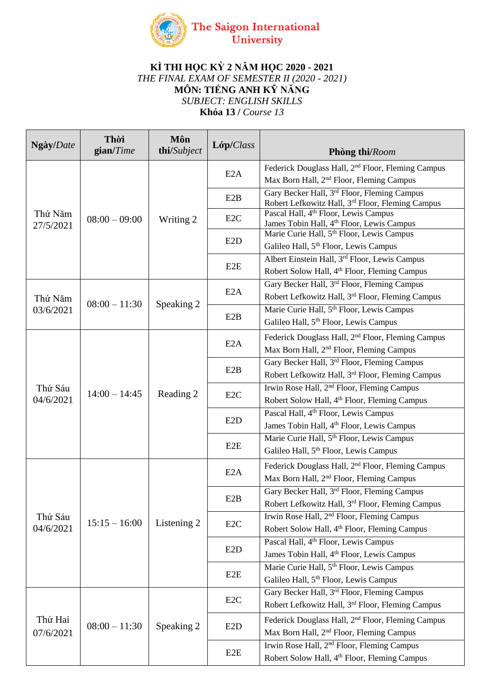

## **KÌ THI HỌC KỲ 2 NĂM HỌC 2020 - 2021** *THE FINAL EXAM OF SEMESTER II (2020 - 2021)* **MÔN: TIẾNG ANH KỸ NĂNG** *SUBJECT: ENGLISH SKILLS* **Khóa 13 /** *Course 13*

| Ngày/Date            | Thời<br>$\mathbf{gain}/Time$ | Môn<br>thi/Subject | Lóp/Class        | Phòng thi/Room                                                                                                        |
|----------------------|------------------------------|--------------------|------------------|-----------------------------------------------------------------------------------------------------------------------|
| Thứ Năm<br>27/5/2021 | $08:00 - 09:00$              | Writing 2          | E2A              | Federick Douglass Hall, 2 <sup>nd</sup> Floor, Fleming Campus<br>Max Born Hall, 2 <sup>nd</sup> Floor, Fleming Campus |
|                      |                              |                    | E2B              | Gary Becker Hall, 3rd Floor, Fleming Campus<br>Robert Lefkowitz Hall, 3 <sup>rd</sup> Floor, Fleming Campus           |
|                      |                              |                    | E <sub>2</sub> C | Pascal Hall, 4 <sup>th</sup> Floor, Lewis Campus<br>James Tobin Hall, 4 <sup>th</sup> Floor, Lewis Campus             |
|                      |                              |                    | E <sub>2</sub> D | Marie Curie Hall, 5 <sup>th</sup> Floor, Lewis Campus<br>Galileo Hall, 5 <sup>th</sup> Floor, Lewis Campus            |
|                      |                              |                    | E <sub>2</sub> E | Albert Einstein Hall, 3 <sup>rd</sup> Floor, Lewis Campus<br>Robert Solow Hall, 4th Floor, Fleming Campus             |
| Thứ Năm<br>03/6/2021 | $08:00 - 11:30$              | Speaking 2         | E2A              | Gary Becker Hall, 3 <sup>rd</sup> Floor, Fleming Campus<br>Robert Lefkowitz Hall, 3rd Floor, Fleming Campus           |
|                      |                              |                    | E2B              | Marie Curie Hall, 5th Floor, Lewis Campus<br>Galileo Hall, 5 <sup>th</sup> Floor, Lewis Campus                        |
| Thứ Sáu<br>04/6/2021 | $14:00 - 14:45$              | Reading 2          | E2A              | Federick Douglass Hall, 2 <sup>nd</sup> Floor, Fleming Campus<br>Max Born Hall, 2 <sup>nd</sup> Floor, Fleming Campus |
|                      |                              |                    | E2B              | Gary Becker Hall, 3 <sup>rd</sup> Floor, Fleming Campus<br>Robert Lefkowitz Hall, 3rd Floor, Fleming Campus           |
|                      |                              |                    | E <sub>2</sub> C | Irwin Rose Hall, 2 <sup>nd</sup> Floor, Fleming Campus<br>Robert Solow Hall, 4 <sup>th</sup> Floor, Fleming Campus    |
|                      |                              |                    | E2D              | Pascal Hall, 4 <sup>th</sup> Floor, Lewis Campus<br>James Tobin Hall, 4 <sup>th</sup> Floor, Lewis Campus             |
|                      |                              |                    | E <sub>2</sub> E | Marie Curie Hall, 5th Floor, Lewis Campus<br>Galileo Hall, 5 <sup>th</sup> Floor, Lewis Campus                        |
| Thứ Sáu<br>04/6/2021 | $15:15 - 16:00$              | Listening 2        | E2A              | Federick Douglass Hall, 2 <sup>nd</sup> Floor, Fleming Campus<br>Max Born Hall, 2 <sup>nd</sup> Floor, Fleming Campus |
|                      |                              |                    | E2B              | Gary Becker Hall, 3rd Floor, Fleming Campus<br>Robert Lefkowitz Hall, 3 <sup>rd</sup> Floor, Fleming Campus           |
|                      |                              |                    | E <sub>2</sub> C | Irwin Rose Hall, 2 <sup>nd</sup> Floor, Fleming Campus<br>Robert Solow Hall, 4 <sup>th</sup> Floor, Fleming Campus    |
|                      |                              |                    | E2D              | Pascal Hall, 4 <sup>th</sup> Floor, Lewis Campus<br>James Tobin Hall, 4 <sup>th</sup> Floor, Lewis Campus             |
|                      |                              |                    | E <sub>2</sub> E | Marie Curie Hall, 5 <sup>th</sup> Floor, Lewis Campus<br>Galileo Hall, 5 <sup>th</sup> Floor, Lewis Campus            |
| Thứ Hai<br>07/6/2021 | $08:00 - 11:30$              | Speaking 2         | E <sub>2C</sub>  | Gary Becker Hall, 3 <sup>rd</sup> Floor, Fleming Campus<br>Robert Lefkowitz Hall, 3rd Floor, Fleming Campus           |
|                      |                              |                    | E <sub>2</sub> D | Federick Douglass Hall, 2 <sup>nd</sup> Floor, Fleming Campus<br>Max Born Hall, 2 <sup>nd</sup> Floor, Fleming Campus |
|                      |                              |                    | E <sub>2</sub> E | Irwin Rose Hall, 2 <sup>nd</sup> Floor, Fleming Campus<br>Robert Solow Hall, 4th Floor, Fleming Campus                |